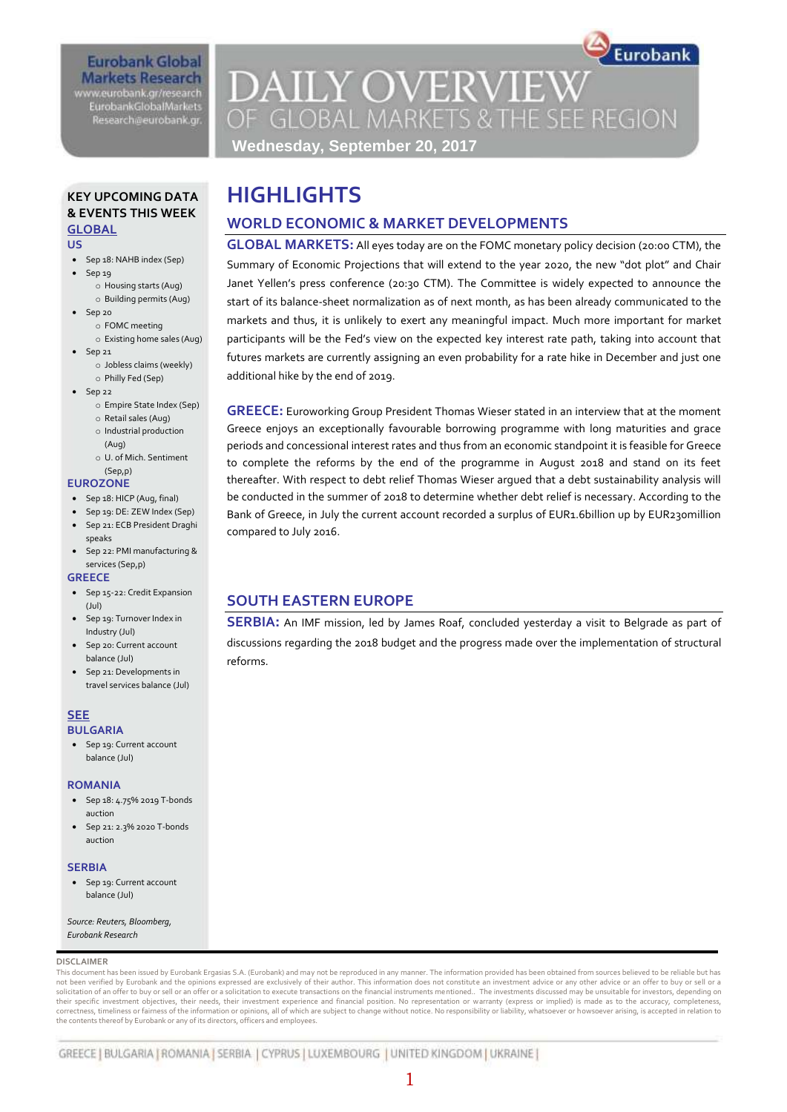### **Eurobank Global Markets Research** www.eurobank.gr/research

**EurobankGlobalMarkets** Research@eurobank.gr

# **DAILY OVERVIEW** OF GLOBAL MARKETS & THE SEE REGION

Eurobank

**Wednesday, September 20, 2017**

**WORLD ECONOMIC & MARKET DEVELOPMENTS**

### **KEY UPCOMING DATA & EVENTS THIS WEEK GLOBAL**

#### **US**

- Sep 18: NAHB index (Sep)
	- Sep 19
		- o Housing starts (Aug) o Building permits (Aug)
- $-$  Sep 20
	- o FOMC meeting
	- o Existing home sales (Aug)
- $\bullet$  Sep 21
	- o Jobless claims (weekly) o Philly Fed (Sep)
- $-$  Sep 22
	- o Empire State Index (Sep) o Retail sales (Aug)
	- o Industrial production
	- (Aug)
	- o U. of Mich. Sentiment
- (Sep,p) **EUROZONE**
- Sep 18: HICP (Aug, final)
- Sep 19: DE: ZEW Index (Sep)
- Sep 21: ECB President Draghi
- speaks Sep 22: PMI manufacturing &
- services (Sep,p) **GREECE**
- Sep 15-22: Credit Expansion (Jul)
- Sep 19: Turnover Index in Industry (Jul)
- Sep 20: Current account balance (Jul)
- Sep 21: Developments in travel services balance (Jul)

#### **SEE BULGARIA**

• Sep 19: Current account balance (Jul)

#### **ROMANIA**

- Sep 18: 4.75% 2019 T-bonds auction
- Sep 21: 2.3% 2020 T-bonds auction

#### **SERBIA**

• Sep 19: Current account balance (Jul)

*Source: Reuters, Bloomberg, Eurobank Research*

#### **DISCLAIMER**

This document has been issued by Eurobank Ergasias S.A. (Eurobank) and may not be reproduced in any manner. The information provided has been obtained from sources believed to be reliable but has not been verified by Eurobank and the opinions expressed are exclusively of their author. This information does not constitute an investment advice or any other advice or an offer to buy or sell or a solicitation of an offer to buy or sell or an offer or a solicitation to execute transactions on the financial instruments mentioned.. The investments discussed may be unsuitable for investors, depending on<br>their specific correctness, timeliness or fairness of the information or opinions, all of which are subject to change without notice. No responsibility or liability, whatsoever or howsoever arising, is accepted in relation to the contents thereof by Eurobank or any of its directors, officers and employees.

# start of its balance-sheet normalization as of next month, as has been already communicated to the markets and thus, it is unlikely to exert any meaningful impact. Much more important for market participants will be the Fed's view on the expected key interest rate path, taking into account that

additional hike by the end of 2019.

**HIGHLIGHTS**

**GREECE:** Euroworking Group President Thomas Wieser stated in an interview that at the moment Greece enjoys an exceptionally favourable borrowing programme with long maturities and grace periods and concessional interest rates and thus from an economic standpoint it is feasible for Greece to complete the reforms by the end of the programme in August 2018 and stand on its feet thereafter. With respect to debt relief Thomas Wieser argued that a debt sustainability analysis will be conducted in the summer of 2018 to determine whether debt relief is necessary. According to the Bank of Greece, in July the current account recorded a surplus of EUR1.6billion up by EUR230million compared to July 2016.

**GLOBAL MARKETS:** All eyes today are on the FOMC monetary policy decision (20:00 CTM), the Summary of Economic Projections that will extend to the year 2020, the new "dot plot" and Chair Janet Yellen's press conference (20:30 CTM). The Committee is widely expected to announce the

futures markets are currently assigning an even probability for a rate hike in December and just one

# **SOUTH EASTERN EUROPE**

**SERBIA:** An IMF mission, led by James Roaf, concluded yesterday a visit to Belgrade as part of discussions regarding the 2018 budget and the progress made over the implementation of structural reforms.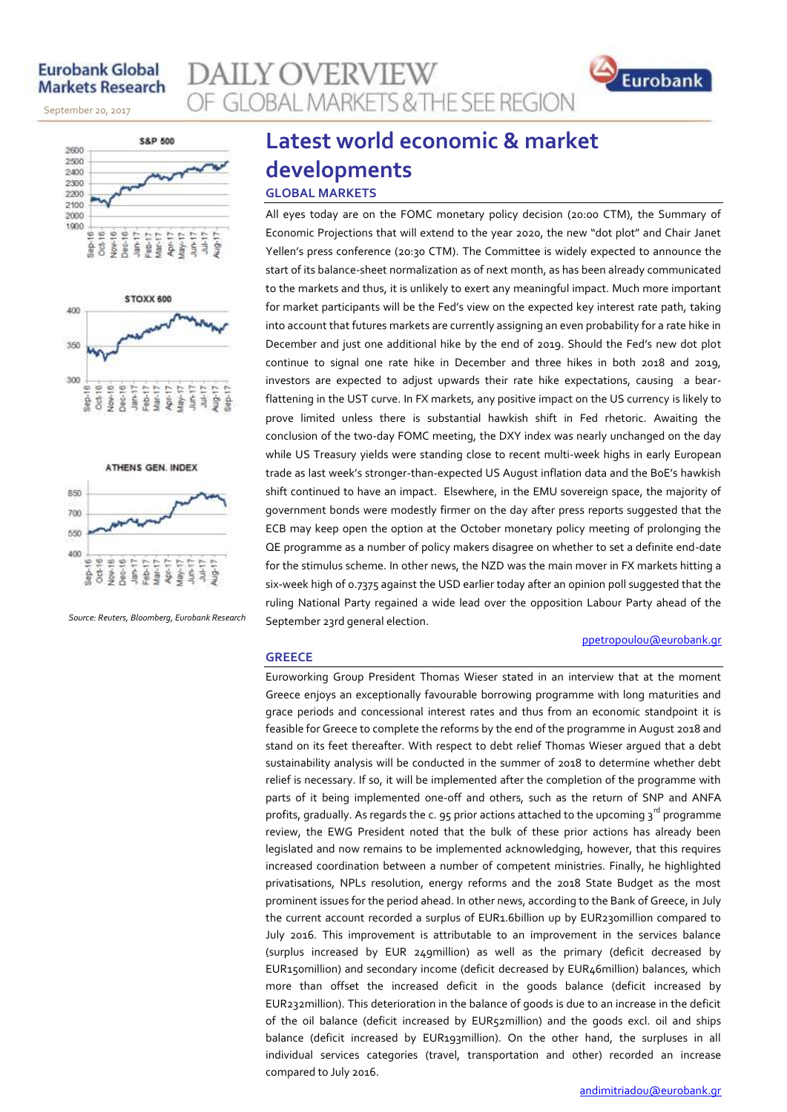# **Eurobank Global Markets Research**

September 20, 2017







*Source: Reuters, Bloomberg, Eurobank Research*

# **GLOBAL MARKETS & THE SEE REGION Latest world economic & market developments**

# **GLOBAL MARKETS**

**AILY OVERVIEW** 

All eyes today are on the FOMC monetary policy decision (20:00 CTM), the Summary of Economic Projections that will extend to the year 2020, the new "dot plot" and Chair Janet Yellen's press conference (20:30 CTM). The Committee is widely expected to announce the start of its balance-sheet normalization as of next month, as has been already communicated to the markets and thus, it is unlikely to exert any meaningful impact. Much more important for market participants will be the Fed's view on the expected key interest rate path, taking into account that futures markets are currently assigning an even probability for a rate hike in December and just one additional hike by the end of 2019. Should the Fed's new dot plot continue to signal one rate hike in December and three hikes in both 2018 and 2019, investors are expected to adjust upwards their rate hike expectations, causing a bearflattening in the UST curve. In FX markets, any positive impact on the US currency is likely to prove limited unless there is substantial hawkish shift in Fed rhetoric. Awaiting the conclusion of the two-day FOMC meeting, the DXY index was nearly unchanged on the day while US Treasury yields were standing close to recent multi-week highs in early European trade as last week's stronger-than-expected US August inflation data and the BoE's hawkish shift continued to have an impact. Elsewhere, in the EMU sovereign space, the majority of government bonds were modestly firmer on the day after press reports suggested that the ECB may keep open the option at the October monetary policy meeting of prolonging the QE programme as a number of policy makers disagree on whether to set a definite end-date for the stimulus scheme. In other news, the NZD was the main mover in FX markets hitting a six-week high of 0.7375 against the USD earlier today after an opinion poll suggested that the ruling National Party regained a wide lead over the opposition Labour Party ahead of the September 23rd general election.

#### **GREECE**

Euroworking Group President Thomas Wieser stated in an interview that at the moment Greece enjoys an exceptionally favourable borrowing programme with long maturities and grace periods and concessional interest rates and thus from an economic standpoint it is feasible for Greece to complete the reforms by the end of the programme in August 2018 and stand on its feet thereafter. With respect to debt relief Thomas Wieser argued that a debt sustainability analysis will be conducted in the summer of 2018 to determine whether debt relief is necessary. If so, it will be implemented after the completion of the programme with parts of it being implemented one-off and others, such as the return of SNP and ANFA profits, gradually. As regards the c. 95 prior actions attached to the upcoming  $3^{\text{rd}}$  programme review, the EWG President noted that the bulk of these prior actions has already been legislated and now remains to be implemented acknowledging, however, that this requires increased coordination between a number of competent ministries. Finally, he highlighted privatisations, NPLs resolution, energy reforms and the 2018 State Budget as the most prominent issues for the period ahead. In other news, according to the Bank of Greece, in July the current account recorded a surplus of EUR1.6billion up by EUR230million compared to July 2016. This improvement is attributable to an improvement in the services balance (surplus increased by EUR 249million) as well as the primary (deficit decreased by EUR150million) and secondary income (deficit decreased by EUR46million) balances, which more than offset the increased deficit in the goods balance (deficit increased by EUR232million). This deterioration in the balance of goods is due to an increase in the deficit of the oil balance (deficit increased by EUR52million) and the goods excl. oil and ships balance (deficit increased by EUR193million). On the other hand, the surpluses in all individual services categories (travel, transportation and other) recorded an increase compared to July 2016.

[ppetropoulou@eurobank.gr](mailto:ppetropoulou@eurobank.gr)

Eurobank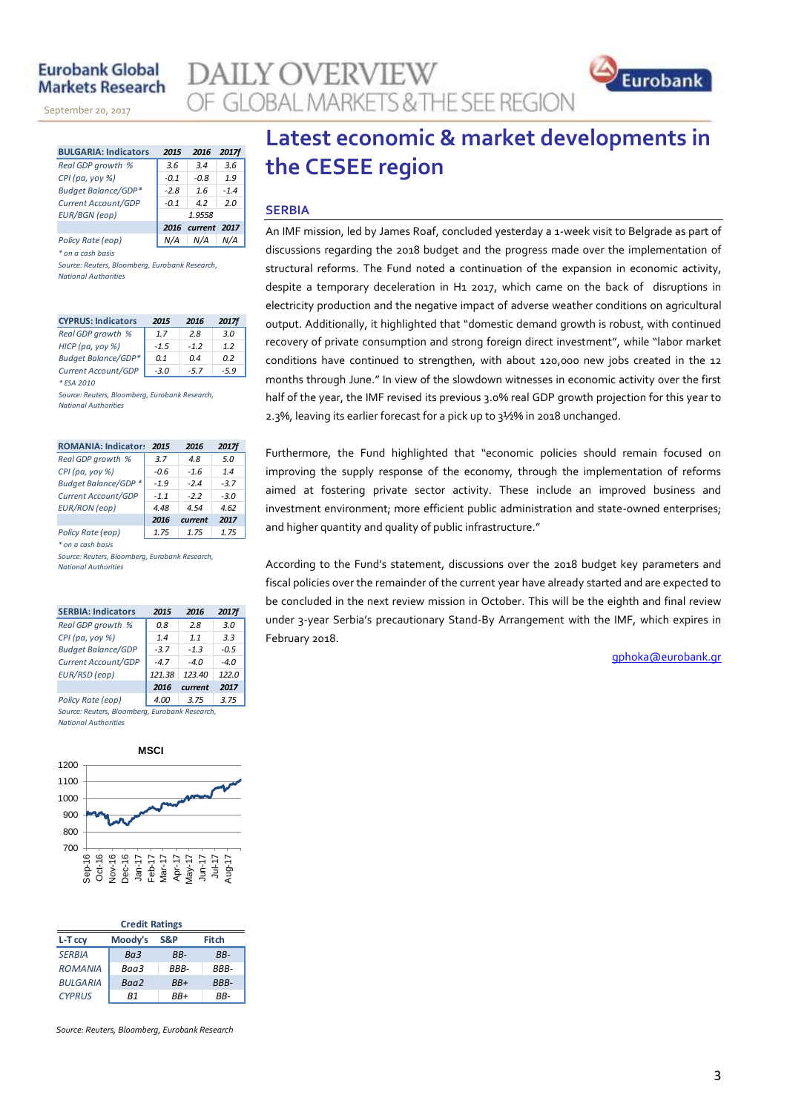# **Furobank Global Markets Research**

November 14, 2013

September 20, 2017

| <b>BULGARIA: Indicators</b> | 2015   | 2016         | 2017f  |
|-----------------------------|--------|--------------|--------|
| Real GDP growth %           | 3.6    | 3.4          | 3.6    |
| CPI (pa, yoy %)             | $-0.1$ | -0.8         | 1.9    |
| <b>Budget Balance/GDP*</b>  | $-2.8$ | 16           | $-1.4$ |
| Current Account/GDP         | $-0.1$ | 42           | 2.0    |
| <b>EUR/BGN</b> (eop)        |        | 1.9558       |        |
|                             | 2016   | current 2017 |        |
| Policy Rate (eop)           |        |              |        |

*\* on a cash basis*

*Source: Reuters, Bloomberg, Eurobank Research, National Authorities*

| <b>CYPRUS: Indicators</b>  | 2015   | 2016  | <b>2017f</b> |
|----------------------------|--------|-------|--------------|
| Real GDP growth %          | 17     | 2.8   | 3.0          |
| HICP (pa, yoy %)           | $-1.5$ | $-12$ | 12           |
| <b>Budget Balance/GDP*</b> | 0 1    | 04    | 02           |
| Current Account/GDP        | $-3.0$ | -57   | -59          |

*\* ESA 2010 Source: Reuters, Bloomberg, Eurobank Research, National Authorities*

| <b>ROMANIA: Indicators</b> | 2015   | 2016    | 2017f  |
|----------------------------|--------|---------|--------|
| Real GDP growth %          | 3.7    | 4.8     | 5.0    |
| CPI (pa, yoy %)            | $-0.6$ | $-1.6$  | 1.4    |
| Budget Balance/GDP *       | $-1.9$ | $-24$   | $-3.7$ |
| Current Account/GDP        | $-1.1$ | $-2.2$  | $-3.0$ |
| <b>EUR/RON</b> (eop)       | 4.48   | 4.54    | 4.62   |
|                            | 2016   | current | 2017   |
| Policy Rate (eop)          | 1.75   | 1.75    | 1.75   |

*\* on a cash basis*

*Source: Reuters, Bloomberg, Eurobank Research, National Authorities*

| <b>SERBIA: Indicators</b>                      | 2015   | 2016   | <b>2017f</b> |  |  |  |  |  |
|------------------------------------------------|--------|--------|--------------|--|--|--|--|--|
| Real GDP growth %                              | 0.8    | 2.8    | 3.0          |  |  |  |  |  |
| CPI (pa, yoy %)                                | 1.4    | 11     | 3.3          |  |  |  |  |  |
| <b>Budget Balance/GDP</b>                      | $-3.7$ | $-1.3$ | $-0.5$       |  |  |  |  |  |
| Current Account/GDP                            | $-4.7$ | -40    | $-4.0$       |  |  |  |  |  |
| EUR/RSD (eop)                                  | 121.38 | 123.40 | 122.0        |  |  |  |  |  |
| 2017<br>2016<br>current                        |        |        |              |  |  |  |  |  |
| Policy Rate (eop)                              | 4.00   | 3.75   | 3.75         |  |  |  |  |  |
| Source: Reuters, Bloomberg, Eurobank Research, |        |        |              |  |  |  |  |  |

*National Authorities*



| <b>Credit Ratings</b> |         |       |             |  |  |  |  |  |
|-----------------------|---------|-------|-------------|--|--|--|--|--|
| L-T ccv               | Moody's | S&P   | Fitch       |  |  |  |  |  |
| <b>SFRBIA</b>         | Ba3     | RR-   | RR-         |  |  |  |  |  |
| <b>ROMANIA</b>        | Baa3    | RRR-  | RRR-        |  |  |  |  |  |
| <b>BULGARIA</b>       | Baa2    | $BB+$ | <b>BBB-</b> |  |  |  |  |  |
| <b>CYPRUS</b>         | R1      | RR+   | RR-         |  |  |  |  |  |

*Source: Reuters, Bloomberg, Eurobank Research*

# **Latest economic & market developments in the CESEE region**

#### **SERBIA**

**AILY OVERVIEW** 

OF GLOBAL MARKETS & THE SEE REGION

An IMF mission, led by James Roaf, concluded yesterday a 1-week visit to Belgrade as part of discussions regarding the 2018 budget and the progress made over the implementation of structural reforms. The Fund noted a continuation of the expansion in economic activity, despite a temporary deceleration in H1 2017, which came on the back of disruptions in electricity production and the negative impact of adverse weather conditions on agricultural output. Additionally, it highlighted that "domestic demand growth is robust, with continued recovery of private consumption and strong foreign direct investment", while "labor market conditions have continued to strengthen, with about 120,000 new jobs created in the 12 months through June." In view of the slowdown witnesses in economic activity over the first half of the year, the IMF revised its previous 3.0% real GDP growth projection for this year to 2.3%, leaving its earlier forecast for a pick up to 3½% in 2018 unchanged.

Furthermore, the Fund highlighted that "economic policies should remain focused on improving the supply response of the economy, through the implementation of reforms aimed at fostering private sector activity. These include an improved business and investment environment; more efficient public administration and state-owned enterprises; and higher quantity and quality of public infrastructure."

According to the Fund's statement, discussions over the 2018 budget key parameters and fiscal policies over the remainder of the current year have already started and are expected to be concluded in the next review mission in October. This will be the eighth and final review under 3-year Serbia's precautionary Stand-By Arrangement with the IMF, which expires in February 2018.

[gphoka@eurobank.gr](mailto:gphoka@eurobank.gr)

Eurobank

3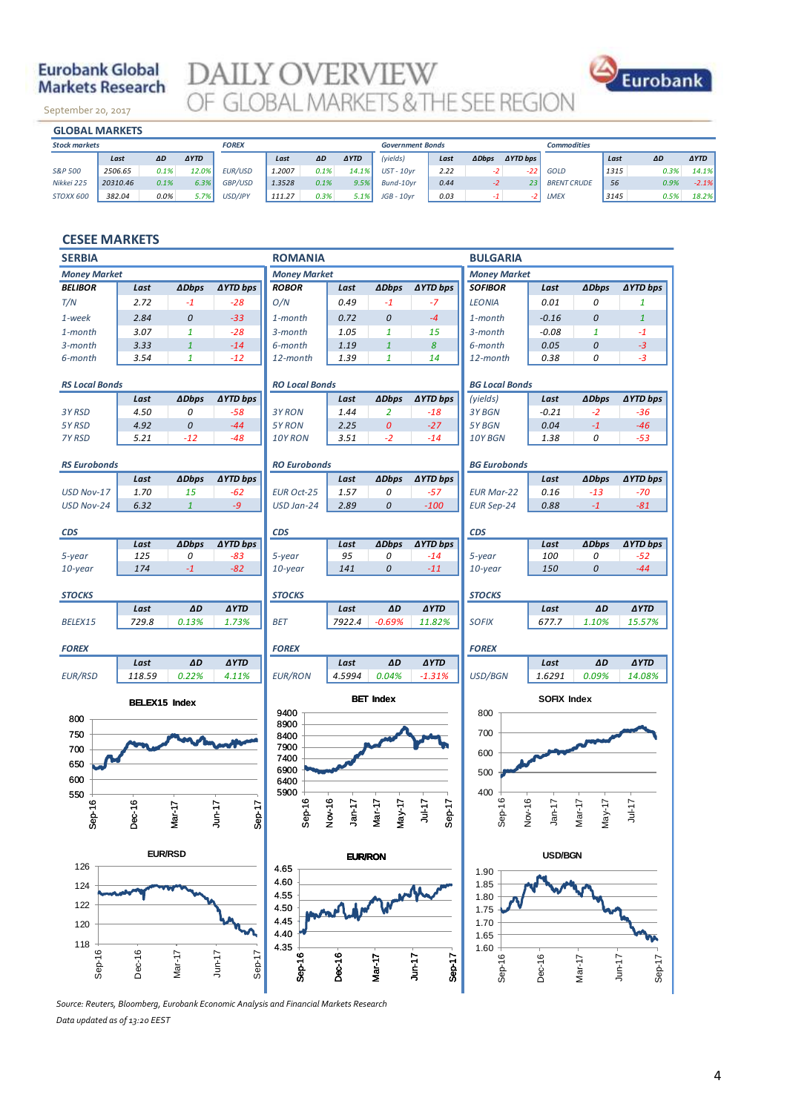# **Eurobank Global Markets Research**

September 20, 2017

**DAILY OVERVIEW**<br>OF GLOBAL MARKETS & THE SEE REGION



|                      | <b>GLOBAL MARKETS</b> |      |             |              |        |      |             |                         |      |              |                     |                    |      |      |             |
|----------------------|-----------------------|------|-------------|--------------|--------|------|-------------|-------------------------|------|--------------|---------------------|--------------------|------|------|-------------|
| <b>Stock markets</b> |                       |      |             | <b>FOREX</b> |        |      |             | <b>Government Bonds</b> |      |              |                     | <b>Commodities</b> |      |      |             |
|                      | Last                  | ΔD   | <b>AYTD</b> |              | Last   | ΔD   | <b>AYTD</b> | (yields)                | Last | <b>ADbps</b> | $\triangle YTD$ bps |                    | Last | ΔD   | <b>AYTD</b> |
| S&P 500              | 2506.65               | 0.1% | 12.0%       | EUR/USD      | 1.2007 | 0.1% | 14.1%       | <b>UST-10vr</b>         | 2.22 | $-2$         | -22                 | GOLD               | 1315 | 0.3% | 14.1%       |
| Nikkei 225           | 20310.46              | 0.1% | 6.3%        | GBP/USD      | 1.3528 | 0.1% | 9.5%        | Bund-10vr               | 0.44 | $-2$         | 231                 | <b>BRENT CRUDE</b> | 56   | 0.9% | $-2.1%$     |
| STOXX 600            | 382.04                | 0.0% | 5.7%        | USD/JPY      | 111.27 | 0.3% | 5.1%        | $JGB - 10vr$            | 0.03 |              | $-2$                | LMEX               | 3145 | 0.5% | 18.2%       |
|                      |                       |      |             |              |        |      |             |                         |      |              |                     |                    |      |      |             |

#### **CESEE MARKETS**

| <b>SERBIA</b>                 |                      |                   |                          | <b>ROMANIA</b>        |                    |                    |                          | <b>BULGARIA</b>       |                    |                         |                        |
|-------------------------------|----------------------|-------------------|--------------------------|-----------------------|--------------------|--------------------|--------------------------|-----------------------|--------------------|-------------------------|------------------------|
| <b>Money Market</b>           |                      |                   |                          | <b>Money Market</b>   |                    |                    |                          | <b>Money Market</b>   |                    |                         |                        |
| <b>BELIBOR</b>                | Last                 | <b>ADbps</b>      | ∆YTD bps                 | <b>ROBOR</b>          | Last               | <b>ADbps</b>       | <b>AYTD bps</b>          | <b>SOFIBOR</b>        | Last               | <b>ADbps</b>            | <b>∆YTD bps</b>        |
| T/N                           | 2.72                 | $-1$              | $-28$                    | O/N                   | 0.49               | $-1$               | $-7$                     | <b>LEONIA</b>         | 0.01               | 0                       | 1                      |
| 1-week                        | 2.84                 | 0                 | $-33$                    | 1-month               | 0.72               | 0                  | $-4$                     | 1-month               | $-0.16$            | 0                       | $\mathbf{1}$           |
| 1-month                       | 3.07                 | $\mathbf{1}$      | $-28$                    | 3-month               | 1.05               | $\mathbf{1}$       | 15                       | 3-month               | $-0.08$            | $\mathbf{1}$            | $-1$                   |
| 3-month                       | 3.33                 | $\mathbf{1}$      | $-14$                    | 6-month               | 1.19               | $\mathbf{1}$       | 8                        | 6-month               | 0.05               | 0                       | $-3$                   |
| 6-month                       | 3.54                 | $\mathbf{1}$      | $-12$                    | 12-month              | 1.39               | $\mathbf{1}$       | 14                       | 12-month              | 0.38               | 0                       | $-3$                   |
| <b>RS Local Bonds</b>         |                      |                   |                          | <b>RO Local Bonds</b> |                    |                    |                          | <b>BG Local Bonds</b> |                    |                         |                        |
|                               | Last                 | <b>ADbps</b>      | <b>AYTD bps</b>          |                       | Last               | <b>ADbps</b>       | <b>∆YTD bps</b>          | (yields)              | Last               | <b>ADbps</b>            | ∆YTD bps               |
| 3Y RSD                        | 4.50                 | 0                 | $-58$                    | 3Y RON                | 1.44               | $\overline{2}$     | $-18$                    | 3Y BGN                | $-0.21$            | $-2$                    | $-36$                  |
| 5Y RSD                        | 4.92                 | 0                 | $-44$                    | 5Y RON                | 2.25               | 0                  | $-27$                    | 5Y BGN                | 0.04               | $^{\text{{\small -1}}}$ | $-46$                  |
| <b>7Y RSD</b>                 | 5.21                 | $-12$             | $-48$                    | 10Y RON               | 3.51               | $-2$               | $-14$                    | 10Y BGN               | 1.38               | 0                       | $-53$                  |
| <b>RS Eurobonds</b>           |                      |                   |                          | <b>RO Eurobonds</b>   |                    |                    |                          | <b>BG Eurobonds</b>   |                    |                         |                        |
|                               | Last                 | <b>ADbps</b>      | ∆YTD bps                 |                       | Last               | <b>ADbps</b>       | <b>∆YTD bps</b>          |                       | Last               | <b>ADbps</b>            | <b>∆YTD bps</b>        |
| USD Nov-17                    | 1.70                 | 15                | $-62$                    | <b>EUR Oct-25</b>     | 1.57               | 0                  | $-57$                    | <b>EUR Mar-22</b>     | 0.16               | $-13$                   | -70                    |
| USD Nov-24                    | 6.32                 | $\mathbf{1}$      | $-9$                     | USD Jan-24            | 2.89               | 0                  | $-100$                   | <b>EUR Sep-24</b>     | 0.88               | $-1$                    | $-81$                  |
|                               |                      |                   |                          |                       |                    |                    |                          |                       |                    |                         |                        |
| <b>CDS</b>                    |                      |                   |                          | <b>CDS</b>            |                    |                    |                          | <b>CDS</b>            |                    |                         |                        |
| 5-year                        | Last<br>125          | <b>ADbps</b><br>0 | <b>AYTD bps</b><br>$-83$ |                       | Last<br>95         | <b>ADbps</b><br>0  | <b>AYTD bps</b><br>$-14$ |                       | Last<br>100        | <b>ADbps</b><br>0       | <b>AYTD bps</b><br>-52 |
| 10-year                       | 174                  | $-1$              | $-82$                    | 5-year<br>$10$ -year  | 141                | 0                  | $-11$                    | 5-year<br>$10$ -year  | 150                | 0                       | $-44$                  |
|                               |                      |                   |                          |                       |                    |                    |                          |                       |                    |                         |                        |
| <b>STOCKS</b>                 |                      |                   |                          | <b>STOCKS</b>         |                    |                    |                          | <b>STOCKS</b>         |                    |                         |                        |
|                               | Last                 | $\pmb{\Delta D}$  | <b>AYTD</b>              |                       | Last               | ΔD                 | <b>AYTD</b>              |                       | Last               | ΔD                      | <b>AYTD</b>            |
| BELEX15                       | 729.8                | 0.13%             | 1.73%                    | <b>BET</b>            | 7922.4             | $-0.69%$           | 11.82%                   | <b>SOFIX</b>          | 677.7              | 1.10%                   | 15.57%                 |
| <b>FOREX</b>                  |                      |                   |                          | <b>FOREX</b>          |                    |                    |                          | <b>FOREX</b>          |                    |                         |                        |
|                               | Last                 | ΔD                | <b>AYTD</b>              |                       | Last               | ΔD                 | <b>AYTD</b>              |                       | Last               | ΔD                      | <b>AYTD</b>            |
| <b>EUR/RSD</b>                | 118.59               | 0.22%             | 4.11%                    | <b>EUR/RON</b>        | 4.5994             | 0.04%              | $-1.31%$                 | USD/BGN               | 1.6291             | 0.09%                   | 14.08%                 |
|                               | <b>BELEX15 Index</b> |                   |                          |                       |                    | <b>BET Index</b>   |                          |                       | <b>SOFIX Index</b> |                         |                        |
| 800                           |                      |                   |                          | 9400                  |                    |                    |                          | 800                   |                    |                         |                        |
| 750                           |                      |                   |                          | 8900                  |                    |                    |                          | 700                   |                    |                         |                        |
| 700                           |                      |                   |                          | 8400<br>7900          |                    |                    |                          |                       |                    |                         |                        |
| 650                           |                      |                   |                          | 7400                  |                    |                    |                          | 600                   |                    |                         |                        |
|                               |                      |                   |                          | 6900                  |                    |                    |                          | 500                   |                    |                         |                        |
| 600                           |                      |                   |                          | 6400<br>5900          |                    |                    |                          | 400                   |                    |                         |                        |
| 550                           |                      |                   |                          |                       |                    |                    |                          |                       |                    |                         |                        |
| $Sep-16$                      | Dec-16               | Mar-17            | $J$ un-17<br>Sep-17      | $Sep-16$              | Nov-16<br>$Jan-17$ | Mar-17<br>$May-17$ | Jul-17<br>Sep-17         | $Sep-16$<br>Nov-16    | $Jan-17$           | $Mar-17$<br>$May-17$    | $Jul-17$               |
|                               |                      |                   |                          |                       |                    |                    |                          |                       |                    |                         |                        |
|                               |                      |                   |                          |                       | <b>EUR/RON</b>     |                    |                          | USD/BGN               |                    |                         |                        |
| <b>EUR/RSD</b><br>126<br>4.65 |                      |                   |                          |                       |                    |                    |                          | 1.90                  |                    |                         |                        |
| 124                           |                      |                   |                          | 4.60                  |                    |                    |                          | 1.85                  |                    |                         |                        |
|                               |                      |                   |                          | 4.55                  |                    |                    |                          | 1.80                  |                    |                         |                        |
| 122                           |                      |                   |                          | 4.50                  |                    |                    |                          | 1.75                  |                    |                         |                        |
| 120                           |                      |                   |                          | 4.45                  |                    |                    |                          | 1.70                  |                    |                         |                        |
| 118                           |                      |                   |                          | 4.40<br>4.35          |                    |                    |                          | 1.65                  |                    |                         |                        |
|                               |                      |                   |                          |                       |                    |                    |                          | 1.60                  |                    |                         |                        |
| $Step-16$                     | Dec-16               | Mar-17            | $J$ un-17<br>Sep-17      | $Sep-16$              | Dec-16             | Mar-17             | Sep-17<br>$J$ un-17      | Sep16                 | Dec-16             | Mar-17                  | Sep-17<br>$Jun-17$     |
|                               |                      |                   |                          |                       |                    |                    |                          |                       |                    |                         |                        |

*Source: Reuters, Bloomberg, Eurobank Economic Analysis and Financial Markets Research Data updated as of 13:20 EEST*